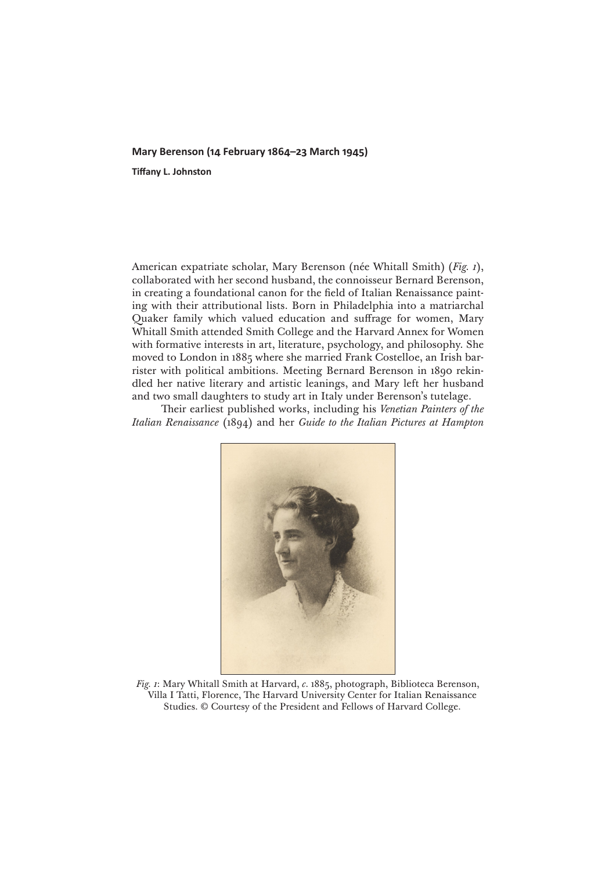## **Mary Berenson (14 February 1864–23 March 1945)**

**Tiffany L. Johnston**

American expatriate scholar, Mary Berenson (née Whitall Smith) (*Fig. 1*), collaborated with her second husband, the connoisseur Bernard Berenson, in creating a foundational canon for the field of Italian Renaissance painting with their attributional lists. Born in Philadelphia into a matriarchal Quaker family which valued education and suffrage for women, Mary Whitall Smith attended Smith College and the Harvard Annex for Women with formative interests in art, literature, psychology, and philosophy. She moved to London in 1885 where she married Frank Costelloe, an Irish barrister with political ambitions. Meeting Bernard Berenson in 1890 rekindled her native literary and artistic leanings, and Mary left her husband and two small daughters to study art in Italy under Berenson's tutelage.

Their earliest published works, including his *Venetian Painters of the Italian Renaissance* (1894) and her *Guide to the Italian Pictures at Hampton* 



*Fig. 1*: Mary Whitall Smith at Harvard, *c.* 1885, photograph, Biblioteca Berenson, Villa I Tatti, Florence, The Harvard University Center for Italian Renaissance Studies. © Courtesy of the President and Fellows of Harvard College.